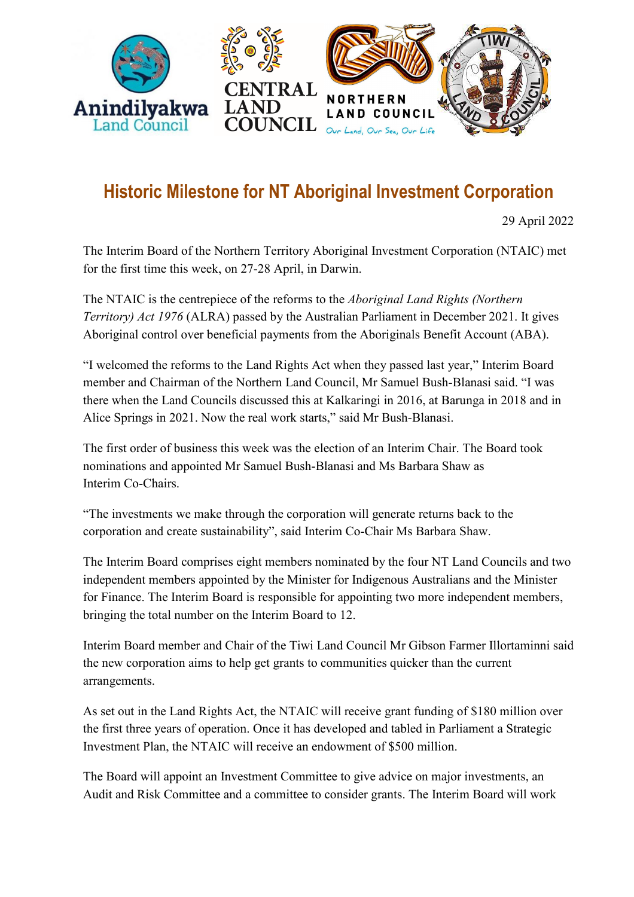

## **Historic Milestone for NT Aboriginal Investment Corporation**

29 April 2022

The Interim Board of the Northern Territory Aboriginal Investment Corporation (NTAIC) met for the first time this week, on 27-28 April, in Darwin.

The NTAIC is the centrepiece of the reforms to the *Aboriginal Land Rights (Northern Territory) Act 1976* (ALRA) passed by the Australian Parliament in December 2021. It gives Aboriginal control over beneficial payments from the Aboriginals Benefit Account (ABA).

"I welcomed the reforms to the Land Rights Act when they passed last year," Interim Board member and Chairman of the Northern Land Council, Mr Samuel Bush-Blanasi said. "I was there when the Land Councils discussed this at Kalkaringi in 2016, at Barunga in 2018 and in Alice Springs in 2021. Now the real work starts," said Mr Bush-Blanasi.

The first order of business this week was the election of an Interim Chair. The Board took nominations and appointed Mr Samuel Bush-Blanasi and Ms Barbara Shaw as Interim Co-Chairs.

"The investments we make through the corporation will generate returns back to the corporation and create sustainability", said Interim Co-Chair Ms Barbara Shaw.

The Interim Board comprises eight members nominated by the four NT Land Councils and two independent members appointed by the Minister for Indigenous Australians and the Minister for Finance. The Interim Board is responsible for appointing two more independent members, bringing the total number on the Interim Board to 12.

Interim Board member and Chair of the Tiwi Land Council Mr Gibson Farmer Illortaminni said the new corporation aims to help get grants to communities quicker than the current arrangements.

As set out in the Land Rights Act, the NTAIC will receive grant funding of \$180 million over the first three years of operation. Once it has developed and tabled in Parliament a Strategic Investment Plan, the NTAIC will receive an endowment of \$500 million.

The Board will appoint an Investment Committee to give advice on major investments, an Audit and Risk Committee and a committee to consider grants. The Interim Board will work